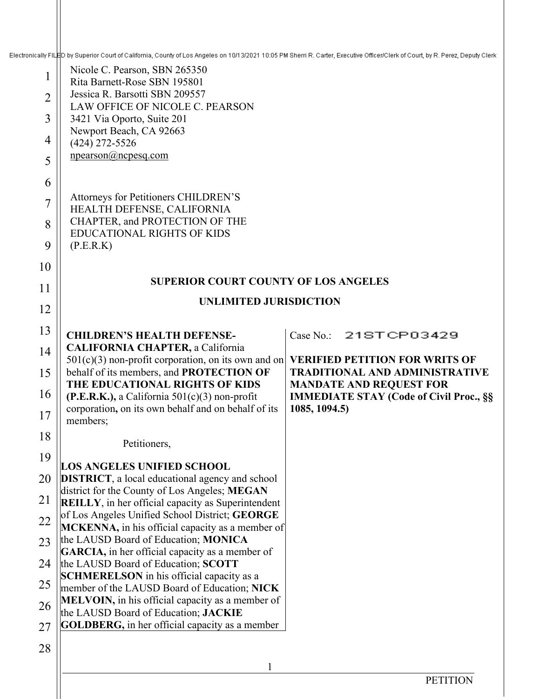Electronically FILED by Superior Court of California, County of Los Angeles on 10/13/2021 10:05 PM Sherri R. Carter, Executive Officer/Clerk of Court, by R. Perez, Deputy Clerk

| 1              | Nicole C. Pearson, SBN 265350                                                                               |                                                                         |  |
|----------------|-------------------------------------------------------------------------------------------------------------|-------------------------------------------------------------------------|--|
| $\overline{2}$ | Rita Barnett-Rose SBN 195801<br>Jessica R. Barsotti SBN 209557                                              |                                                                         |  |
| 3              | LAW OFFICE OF NICOLE C. PEARSON<br>3421 Via Oporto, Suite 201                                               |                                                                         |  |
| 4              | Newport Beach, CA 92663                                                                                     |                                                                         |  |
| 5              | $(424)$ 272-5526<br>$n$ pearson@ncpesq.com                                                                  |                                                                         |  |
| 6              |                                                                                                             |                                                                         |  |
| $\overline{7}$ | Attorneys for Petitioners CHILDREN'S                                                                        |                                                                         |  |
|                | HEALTH DEFENSE, CALIFORNIA<br>CHAPTER, and PROTECTION OF THE                                                |                                                                         |  |
| 8              | <b>EDUCATIONAL RIGHTS OF KIDS</b>                                                                           |                                                                         |  |
| 9              | (P.E.R.K)                                                                                                   |                                                                         |  |
| 10             | <b>SUPERIOR COURT COUNTY OF LOS ANGELES</b>                                                                 |                                                                         |  |
| 11             | <b>UNLIMITED JURISDICTION</b>                                                                               |                                                                         |  |
| 12             |                                                                                                             |                                                                         |  |
| 13             | <b>CHILDREN'S HEALTH DEFENSE-</b>                                                                           | Case No.: 21STCP03429                                                   |  |
| 14             | <b>CALIFORNIA CHAPTER, a California</b><br>$501(c)(3)$ non-profit corporation, on its own and on            | <b>VERIFIED PETITION FOR WRITS OF</b>                                   |  |
| 15             | behalf of its members, and PROTECTION OF<br>THE EDUCATIONAL RIGHTS OF KIDS                                  | <b>TRADITIONAL AND ADMINISTRATIVE</b><br><b>MANDATE AND REQUEST FOR</b> |  |
| 16             | $(P.E.R.K.)$ , a California 501(c)(3) non-profit                                                            | <b>IMMEDIATE STAY (Code of Civil Proc., §§</b>                          |  |
| 17             | corporation, on its own behalf and on behalf of its<br>members;                                             | 1085, 1094.5)                                                           |  |
| 18             | Petitioners,                                                                                                |                                                                         |  |
| 19             | <b>LOS ANGELES UNIFIED SCHOOL</b>                                                                           |                                                                         |  |
| 20             | <b>DISTRICT</b> , a local educational agency and school                                                     |                                                                         |  |
| 21             | district for the County of Los Angeles; MEGAN<br><b>REILLY</b> , in her official capacity as Superintendent |                                                                         |  |
| 22             | of Los Angeles Unified School District; GEORGE<br>MCKENNA, in his official capacity as a member of          |                                                                         |  |
| 23             | the LAUSD Board of Education; MONICA                                                                        |                                                                         |  |
| 24             | <b>GARCIA</b> , in her official capacity as a member of<br>the LAUSD Board of Education; SCOTT              |                                                                         |  |
| 25             | <b>SCHMERELSON</b> in his official capacity as a<br>member of the LAUSD Board of Education; NICK            |                                                                         |  |
| 26             | <b>MELVOIN</b> , in his official capacity as a member of                                                    |                                                                         |  |
| 27             | the LAUSD Board of Education; JACKIE<br><b>GOLDBERG</b> , in her official capacity as a member              |                                                                         |  |
| 28             |                                                                                                             |                                                                         |  |
|                | 1                                                                                                           |                                                                         |  |
|                |                                                                                                             |                                                                         |  |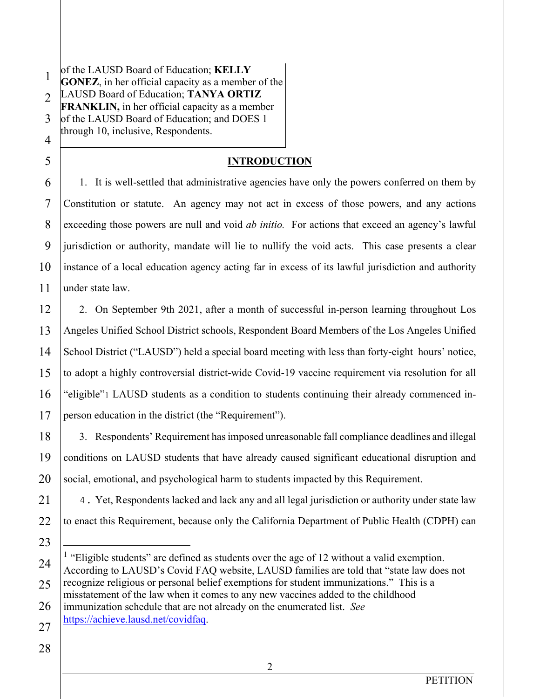1 2 3 4 of the LAUSD Board of Education; **KELLY GONEZ**, in her official capacity as a member of the LAUSD Board of Education; **TANYA ORTIZ FRANKLIN,** in her official capacity as a member of the LAUSD Board of Education; and DOES 1 through 10, inclusive, Respondents.

# **INTRODUCTION**

1. It is well-settled that administrative agencies have only the powers conferred on them by Constitution or statute. An agency may not act in excess of those powers, and any actions exceeding those powers are null and void *ab initio.* For actions that exceed an agency's lawful jurisdiction or authority, mandate will lie to nullify the void acts. This case presents a clear instance of a local education agency acting far in excess of its lawful jurisdiction and authority under state law.

2. On September 9th 2021, after a month of successful in-person learning throughout Los Angeles Unified School District schools, Respondent Board Members of the Los Angeles Unified School District ("LAUSD") held a special board meeting with less than forty-eight hours' notice, to adopt a highly controversial district-wide Covid-19 vaccine requirement via resolution for all "eligible"1 LAUSD students as a condition to students continuing their already commenced inperson education in the district (the "Requirement").

3. Respondents' Requirement has imposed unreasonable fall compliance deadlines and illegal conditions on LAUSD students that have already caused significant educational disruption and social, emotional, and psychological harm to students impacted by this Requirement.

4. Yet, Respondents lacked and lack any and all legal jurisdiction or authority under state law to enact this Requirement, because only the California Department of Public Health (CDPH) can

5

6

7

8

9

10

11

12

13

14

15

16

17

18

 $<sup>1</sup>$  "Eligible students" are defined as students over the age of 12 without a valid exemption.</sup> According to LAUSD's Covid FAQ website, LAUSD families are told that "state law does not recognize religious or personal belief exemptions for student immunizations." This is a misstatement of the law when it comes to any new vaccines added to the childhood immunization schedule that are not already on the enumerated list. *See*  https://achieve.lausd.net/covidfaq.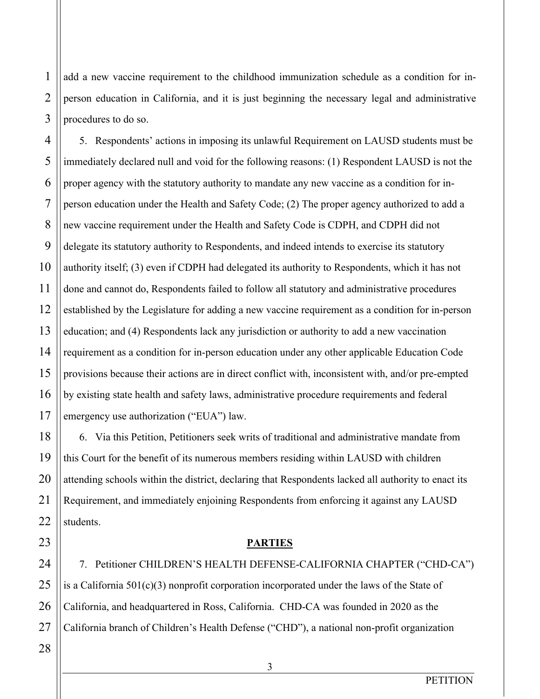add a new vaccine requirement to the childhood immunization schedule as a condition for inperson education in California, and it is just beginning the necessary legal and administrative procedures to do so.

5. Respondents' actions in imposing its unlawful Requirement on LAUSD students must be immediately declared null and void for the following reasons: (1) Respondent LAUSD is not the proper agency with the statutory authority to mandate any new vaccine as a condition for inperson education under the Health and Safety Code; (2) The proper agency authorized to add a new vaccine requirement under the Health and Safety Code is CDPH, and CDPH did not delegate its statutory authority to Respondents, and indeed intends to exercise its statutory authority itself; (3) even if CDPH had delegated its authority to Respondents, which it has not done and cannot do, Respondents failed to follow all statutory and administrative procedures established by the Legislature for adding a new vaccine requirement as a condition for in-person education; and (4) Respondents lack any jurisdiction or authority to add a new vaccination requirement as a condition for in-person education under any other applicable Education Code provisions because their actions are in direct conflict with, inconsistent with, and/or pre-empted by existing state health and safety laws, administrative procedure requirements and federal emergency use authorization ("EUA") law.

6. Via this Petition, Petitioners seek writs of traditional and administrative mandate from this Court for the benefit of its numerous members residing within LAUSD with children attending schools within the district, declaring that Respondents lacked all authority to enact its Requirement, and immediately enjoining Respondents from enforcing it against any LAUSD students.

#### **PARTIES**

7. Petitioner CHILDREN'S HEALTH DEFENSE-CALIFORNIA CHAPTER ("CHD-CA") is a California 501(c)(3) nonprofit corporation incorporated under the laws of the State of California, and headquartered in Ross, California. CHD-CA was founded in 2020 as the California branch of Children's Health Defense ("CHD"), a national non-profit organization

1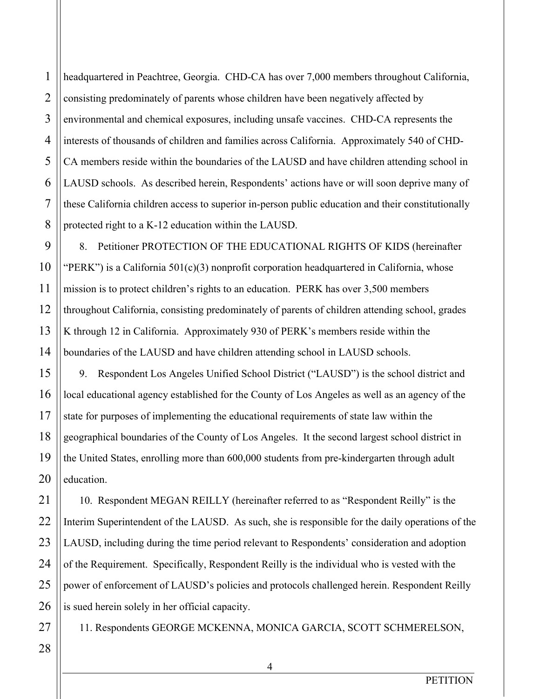4 headquartered in Peachtree, Georgia. CHD-CA has over 7,000 members throughout California, consisting predominately of parents whose children have been negatively affected by environmental and chemical exposures, including unsafe vaccines. CHD-CA represents the interests of thousands of children and families across California. Approximately 540 of CHD-CA members reside within the boundaries of the LAUSD and have children attending school in LAUSD schools. As described herein, Respondents' actions have or will soon deprive many of these California children access to superior in-person public education and their constitutionally protected right to a K-12 education within the LAUSD.

8. Petitioner PROTECTION OF THE EDUCATIONAL RIGHTS OF KIDS (hereinafter "PERK") is a California  $501(c)(3)$  nonprofit corporation headquartered in California, whose mission is to protect children's rights to an education. PERK has over 3,500 members throughout California, consisting predominately of parents of children attending school, grades K through 12 in California. Approximately 930 of PERK's members reside within the boundaries of the LAUSD and have children attending school in LAUSD schools.

9. Respondent Los Angeles Unified School District ("LAUSD") is the school district and local educational agency established for the County of Los Angeles as well as an agency of the state for purposes of implementing the educational requirements of state law within the geographical boundaries of the County of Los Angeles. It the second largest school district in the United States, enrolling more than 600,000 students from pre-kindergarten through adult education.

10. Respondent MEGAN REILLY (hereinafter referred to as "Respondent Reilly" is the Interim Superintendent of the LAUSD. As such, she is responsible for the daily operations of the LAUSD, including during the time period relevant to Respondents' consideration and adoption of the Requirement. Specifically, Respondent Reilly is the individual who is vested with the power of enforcement of LAUSD's policies and protocols challenged herein. Respondent Reilly is sued herein solely in her official capacity.

11. Respondents GEORGE MCKENNA, MONICA GARCIA, SCOTT SCHMERELSON,

4

1

2

3

5

6

7

8

9

10

11

12

13

14

15

16

17

18

19

20

21

22

23

24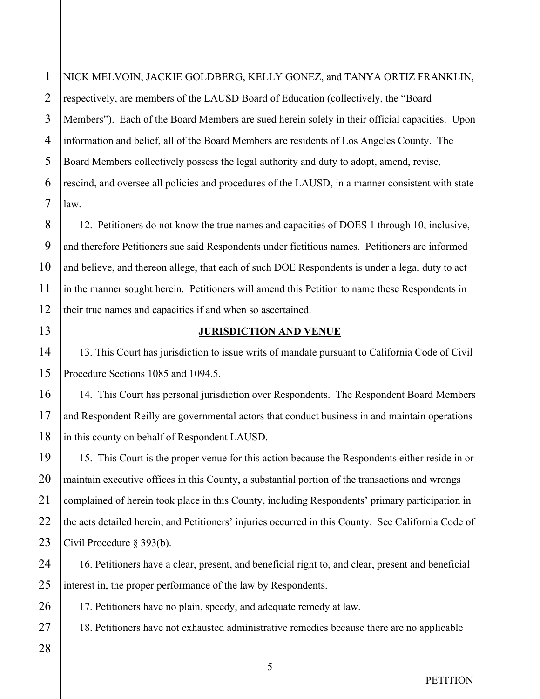NICK MELVOIN, JACKIE GOLDBERG, KELLY GONEZ, and TANYA ORTIZ FRANKLIN, respectively, are members of the LAUSD Board of Education (collectively, the "Board Members"). Each of the Board Members are sued herein solely in their official capacities. Upon information and belief, all of the Board Members are residents of Los Angeles County. The Board Members collectively possess the legal authority and duty to adopt, amend, revise, rescind, and oversee all policies and procedures of the LAUSD, in a manner consistent with state law.

12. Petitioners do not know the true names and capacities of DOES 1 through 10, inclusive, and therefore Petitioners sue said Respondents under fictitious names. Petitioners are informed and believe, and thereon allege, that each of such DOE Respondents is under a legal duty to act in the manner sought herein. Petitioners will amend this Petition to name these Respondents in their true names and capacities if and when so ascertained.

## **JURISDICTION AND VENUE**

13. This Court has jurisdiction to issue writs of mandate pursuant to California Code of Civil Procedure Sections 1085 and 1094.5.

14. This Court has personal jurisdiction over Respondents. The Respondent Board Members and Respondent Reilly are governmental actors that conduct business in and maintain operations in this county on behalf of Respondent LAUSD.

15. This Court is the proper venue for this action because the Respondents either reside in or maintain executive offices in this County, a substantial portion of the transactions and wrongs complained of herein took place in this County, including Respondents' primary participation in the acts detailed herein, and Petitioners' injuries occurred in this County. See California Code of Civil Procedure § 393(b).

16. Petitioners have a clear, present, and beneficial right to, and clear, present and beneficial interest in, the proper performance of the law by Respondents.

17. Petitioners have no plain, speedy, and adequate remedy at law.

18. Petitioners have not exhausted administrative remedies because there are no applicable

1

2

3

4

5

6

7

8

9

10

11

12

13

14

15

16

17

18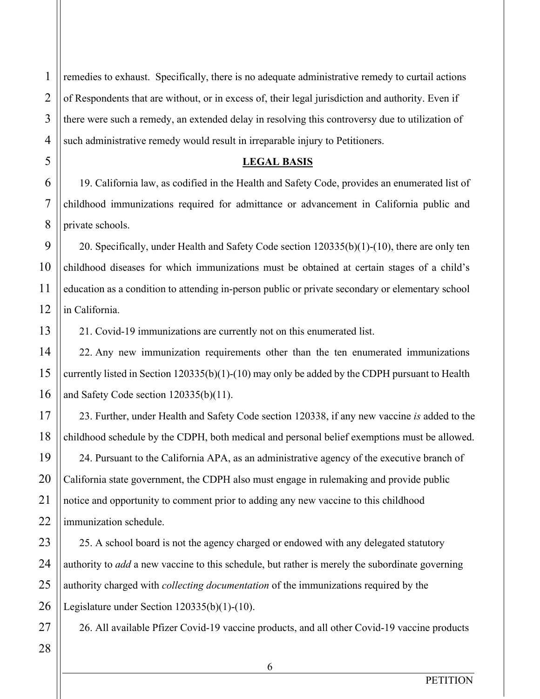1 2 3 4 remedies to exhaust. Specifically, there is no adequate administrative remedy to curtail actions of Respondents that are without, or in excess of, their legal jurisdiction and authority. Even if there were such a remedy, an extended delay in resolving this controversy due to utilization of such administrative remedy would result in irreparable injury to Petitioners.

#### **LEGAL BASIS**

19. California law, as codified in the Health and Safety Code, provides an enumerated list of childhood immunizations required for admittance or advancement in California public and private schools.

20. Specifically, under Health and Safety Code section 120335(b)(1)-(10), there are only ten childhood diseases for which immunizations must be obtained at certain stages of a child's education as a condition to attending in-person public or private secondary or elementary school in California.

21. Covid-19 immunizations are currently not on this enumerated list.

22. Any new immunization requirements other than the ten enumerated immunizations currently listed in Section 120335(b)(1)-(10) may only be added by the CDPH pursuant to Health and Safety Code section 120335(b)(11).

23. Further, under Health and Safety Code section 120338, if any new vaccine *is* added to the childhood schedule by the CDPH, both medical and personal belief exemptions must be allowed.

24. Pursuant to the California APA, as an administrative agency of the executive branch of California state government, the CDPH also must engage in rulemaking and provide public notice and opportunity to comment prior to adding any new vaccine to this childhood immunization schedule.

25. A school board is not the agency charged or endowed with any delegated statutory authority to *add* a new vaccine to this schedule, but rather is merely the subordinate governing authority charged with *collecting documentation* of the immunizations required by the Legislature under Section 120335(b)(1)-(10).

26. All available Pfizer Covid-19 vaccine products, and all other Covid-19 vaccine products

5

6

7

8

9

10

11

12

13

14

15

16

17

18

19

20

21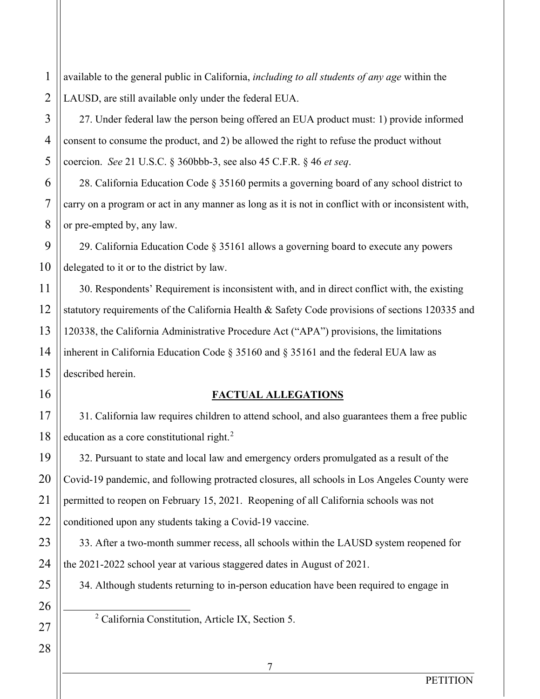1 available to the general public in California, *including to all students of any age* within the LAUSD, are still available only under the federal EUA.

27. Under federal law the person being offered an EUA product must: 1) provide informed consent to consume the product, and 2) be allowed the right to refuse the product without coercion. *See* 21 U.S.C. § 360bbb-3, see also 45 C.F.R. § 46 *et seq*.

28. California Education Code § 35160 permits a governing board of any school district to carry on a program or act in any manner as long as it is not in conflict with or inconsistent with, or pre-empted by, any law.

29. California Education Code § 35161 allows a governing board to execute any powers delegated to it or to the district by law.

30. Respondents' Requirement is inconsistent with, and in direct conflict with, the existing statutory requirements of the California Health & Safety Code provisions of sections 120335 and 120338, the California Administrative Procedure Act ("APA") provisions, the limitations inherent in California Education Code § 35160 and § 35161 and the federal EUA law as described herein.

# **FACTUAL ALLEGATIONS**

31. California law requires children to attend school, and also guarantees them a free public education as a core constitutional right. $2$ 

32. Pursuant to state and local law and emergency orders promulgated as a result of the Covid-19 pandemic, and following protracted closures, all schools in Los Angeles County were permitted to reopen on February 15, 2021. Reopening of all California schools was not conditioned upon any students taking a Covid-19 vaccine.

33. After a two-month summer recess, all schools within the LAUSD system reopened for the 2021-2022 school year at various staggered dates in August of 2021.

34. Although students returning to in-person education have been required to engage in

<sup>2</sup> California Constitution, Article IX, Section 5.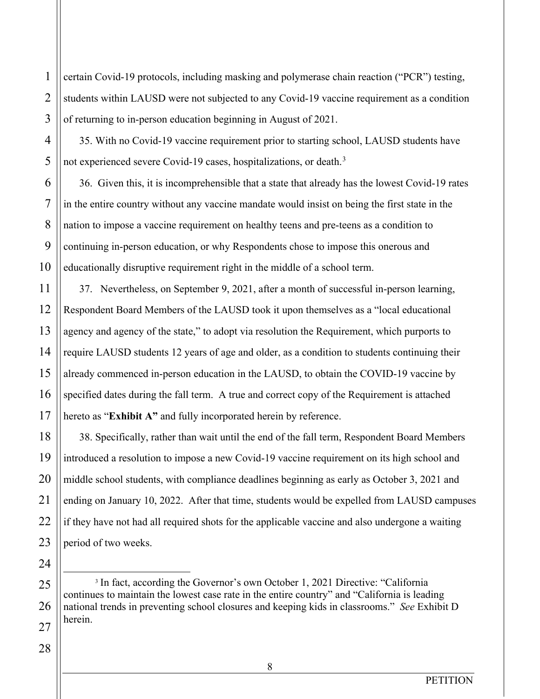certain Covid-19 protocols, including masking and polymerase chain reaction ("PCR") testing, students within LAUSD were not subjected to any Covid-19 vaccine requirement as a condition of returning to in-person education beginning in August of 2021.

35. With no Covid-19 vaccine requirement prior to starting school, LAUSD students have not experienced severe Covid-19 cases, hospitalizations, or death.<sup>3</sup>

36. Given this, it is incomprehensible that a state that already has the lowest Covid-19 rates in the entire country without any vaccine mandate would insist on being the first state in the nation to impose a vaccine requirement on healthy teens and pre-teens as a condition to continuing in-person education, or why Respondents chose to impose this onerous and educationally disruptive requirement right in the middle of a school term.

37. Nevertheless, on September 9, 2021, after a month of successful in-person learning, Respondent Board Members of the LAUSD took it upon themselves as a "local educational agency and agency of the state," to adopt via resolution the Requirement, which purports to require LAUSD students 12 years of age and older, as a condition to students continuing their already commenced in-person education in the LAUSD, to obtain the COVID-19 vaccine by specified dates during the fall term. A true and correct copy of the Requirement is attached hereto as "**Exhibit A"** and fully incorporated herein by reference.

38. Specifically, rather than wait until the end of the fall term, Respondent Board Members introduced a resolution to impose a new Covid-19 vaccine requirement on its high school and middle school students, with compliance deadlines beginning as early as October 3, 2021 and ending on January 10, 2022. After that time, students would be expelled from LAUSD campuses if they have not had all required shots for the applicable vaccine and also undergone a waiting period of two weeks.

<sup>3</sup> In fact, according the Governor's own October 1, 2021 Directive: "California" continues to maintain the lowest case rate in the entire country" and "California is leading national trends in preventing school closures and keeping kids in classrooms." *See* Exhibit D herein.

1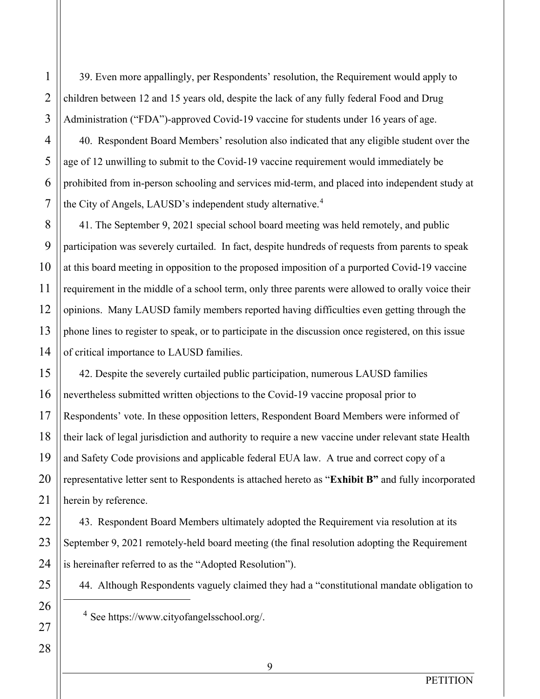39. Even more appallingly, per Respondents' resolution, the Requirement would apply to children between 12 and 15 years old, despite the lack of any fully federal Food and Drug Administration ("FDA")-approved Covid-19 vaccine for students under 16 years of age.

40. Respondent Board Members' resolution also indicated that any eligible student over the age of 12 unwilling to submit to the Covid-19 vaccine requirement would immediately be prohibited from in-person schooling and services mid-term, and placed into independent study at the City of Angels, LAUSD's independent study alternative.<sup>4</sup>

41. The September 9, 2021 special school board meeting was held remotely, and public participation was severely curtailed. In fact, despite hundreds of requests from parents to speak at this board meeting in opposition to the proposed imposition of a purported Covid-19 vaccine requirement in the middle of a school term, only three parents were allowed to orally voice their opinions. Many LAUSD family members reported having difficulties even getting through the phone lines to register to speak, or to participate in the discussion once registered, on this issue of critical importance to LAUSD families.

42. Despite the severely curtailed public participation, numerous LAUSD families nevertheless submitted written objections to the Covid-19 vaccine proposal prior to Respondents' vote. In these opposition letters, Respondent Board Members were informed of their lack of legal jurisdiction and authority to require a new vaccine under relevant state Health and Safety Code provisions and applicable federal EUA law. A true and correct copy of a representative letter sent to Respondents is attached hereto as "**Exhibit B"** and fully incorporated herein by reference.

43. Respondent Board Members ultimately adopted the Requirement via resolution at its September 9, 2021 remotely-held board meeting (the final resolution adopting the Requirement is hereinafter referred to as the "Adopted Resolution").

44. Although Respondents vaguely claimed they had a "constitutional mandate obligation to

- <sup>4</sup> See https://www.cityofangelsschool.org/.
- 21 22 23 24 25 26 27 28

1

2

3

4

5

6

7

8

9

10

11

12

13

14

15

16

17

18

19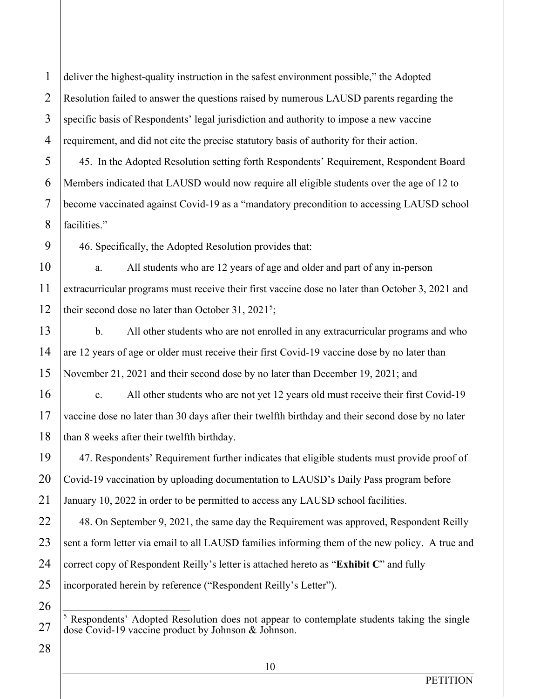2 3 4 deliver the highest-quality instruction in the safest environment possible," the Adopted Resolution failed to answer the questions raised by numerous LAUSD parents regarding the specific basis of Respondents' legal jurisdiction and authority to impose a new vaccine requirement, and did not cite the precise statutory basis of authority for their action.

45. In the Adopted Resolution setting forth Respondents' Requirement, Respondent Board Members indicated that LAUSD would now require all eligible students over the age of 12 to become vaccinated against Covid-19 as a "mandatory precondition to accessing LAUSD school facilities."

46. Specifically, the Adopted Resolution provides that:

a. All students who are 12 years of age and older and part of any in-person extracurricular programs must receive their first vaccine dose no later than October 3, 2021 and their second dose no later than October 31, 2021<sup>5</sup>;

b. All other students who are not enrolled in any extracurricular programs and who are 12 years of age or older must receive their first Covid-19 vaccine dose by no later than November 21, 2021 and their second dose by no later than December 19, 2021; and

c. All other students who are not yet 12 years old must receive their first Covid-19 vaccine dose no later than 30 days after their twelfth birthday and their second dose by no later than 8 weeks after their twelfth birthday.

47. Respondents' Requirement further indicates that eligible students must provide proof of Covid-19 vaccination by uploading documentation to LAUSD's Daily Pass program before January 10, 2022 in order to be permitted to access any LAUSD school facilities.

48. On September 9, 2021, the same day the Requirement was approved, Respondent Reilly sent a form letter via email to all LAUSD families informing them of the new policy. A true and correct copy of Respondent Reilly's letter is attached hereto as "**Exhibit C**" and fully incorporated herein by reference ("Respondent Reilly's Letter").

28

1

5

6

7

8

9

10

11

12

13

14

15

16

17

18

19

20

21

22

23

24

25

26

27

 $5$  Respondents' Adopted Resolution does not appear to contemplate students taking the single dose Covid-19 vaccine product by Johnson & Johnson.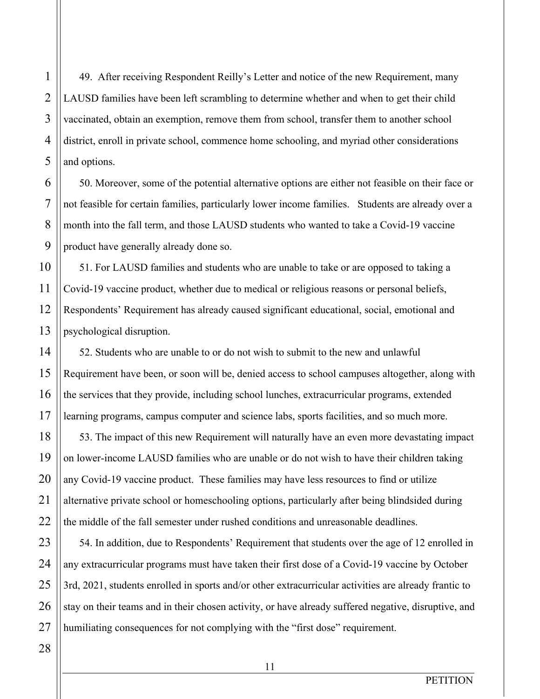49. After receiving Respondent Reilly's Letter and notice of the new Requirement, many LAUSD families have been left scrambling to determine whether and when to get their child vaccinated, obtain an exemption, remove them from school, transfer them to another school district, enroll in private school, commence home schooling, and myriad other considerations and options.

50. Moreover, some of the potential alternative options are either not feasible on their face or not feasible for certain families, particularly lower income families. Students are already over a month into the fall term, and those LAUSD students who wanted to take a Covid-19 vaccine product have generally already done so.

51. For LAUSD families and students who are unable to take or are opposed to taking a Covid-19 vaccine product, whether due to medical or religious reasons or personal beliefs, Respondents' Requirement has already caused significant educational, social, emotional and psychological disruption.

52. Students who are unable to or do not wish to submit to the new and unlawful Requirement have been, or soon will be, denied access to school campuses altogether, along with the services that they provide, including school lunches, extracurricular programs, extended learning programs, campus computer and science labs, sports facilities, and so much more.

53. The impact of this new Requirement will naturally have an even more devastating impact on lower-income LAUSD families who are unable or do not wish to have their children taking any Covid-19 vaccine product. These families may have less resources to find or utilize alternative private school or homeschooling options, particularly after being blindsided during the middle of the fall semester under rushed conditions and unreasonable deadlines.

54. In addition, due to Respondents' Requirement that students over the age of 12 enrolled in any extracurricular programs must have taken their first dose of a Covid-19 vaccine by October 3rd, 2021, students enrolled in sports and/or other extracurricular activities are already frantic to stay on their teams and in their chosen activity, or have already suffered negative, disruptive, and humiliating consequences for not complying with the "first dose" requirement.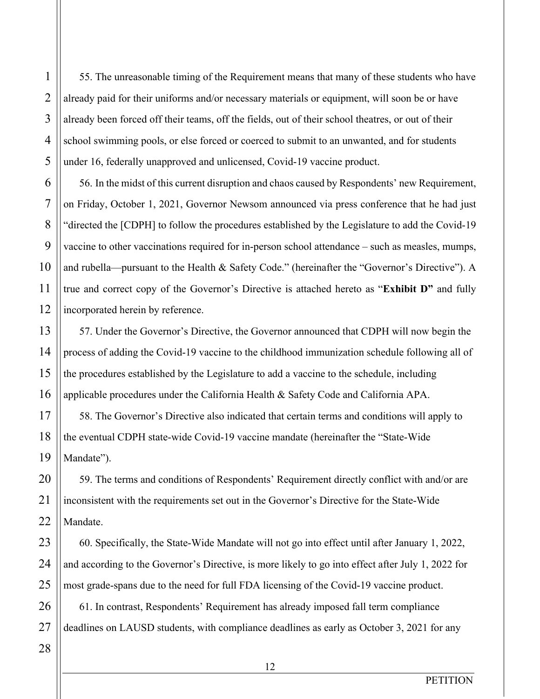55. The unreasonable timing of the Requirement means that many of these students who have already paid for their uniforms and/or necessary materials or equipment, will soon be or have already been forced off their teams, off the fields, out of their school theatres, or out of their school swimming pools, or else forced or coerced to submit to an unwanted, and for students under 16, federally unapproved and unlicensed, Covid-19 vaccine product.

56. In the midst of this current disruption and chaos caused by Respondents' new Requirement, on Friday, October 1, 2021, Governor Newsom announced via press conference that he had just "directed the [CDPH] to follow the procedures established by the Legislature to add the Covid-19 vaccine to other vaccinations required for in-person school attendance – such as measles, mumps, and rubella—pursuant to the Health & Safety Code." (hereinafter the "Governor's Directive"). A true and correct copy of the Governor's Directive is attached hereto as "**Exhibit D"** and fully incorporated herein by reference.

57. Under the Governor's Directive, the Governor announced that CDPH will now begin the process of adding the Covid-19 vaccine to the childhood immunization schedule following all of the procedures established by the Legislature to add a vaccine to the schedule, including applicable procedures under the California Health & Safety Code and California APA.

58. The Governor's Directive also indicated that certain terms and conditions will apply to the eventual CDPH state-wide Covid-19 vaccine mandate (hereinafter the "State-Wide Mandate").

59. The terms and conditions of Respondents' Requirement directly conflict with and/or are inconsistent with the requirements set out in the Governor's Directive for the State-Wide Mandate.

60. Specifically, the State-Wide Mandate will not go into effect until after January 1, 2022, and according to the Governor's Directive, is more likely to go into effect after July 1, 2022 for most grade-spans due to the need for full FDA licensing of the Covid-19 vaccine product.

61. In contrast, Respondents' Requirement has already imposed fall term compliance deadlines on LAUSD students, with compliance deadlines as early as October 3, 2021 for any

1

2

3

4

5

6

7

8

9

10

11

12

13

14

15

16

17

18

19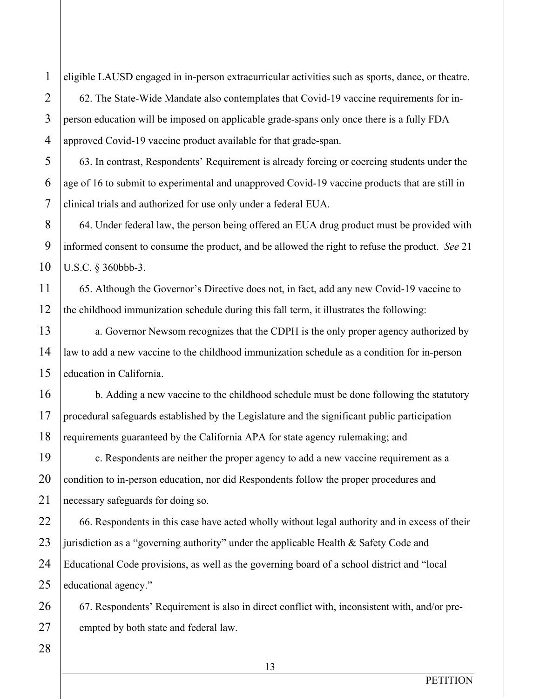eligible LAUSD engaged in in-person extracurricular activities such as sports, dance, or theatre. 62. The State-Wide Mandate also contemplates that Covid-19 vaccine requirements for inperson education will be imposed on applicable grade-spans only once there is a fully FDA approved Covid-19 vaccine product available for that grade-span.

63. In contrast, Respondents' Requirement is already forcing or coercing students under the age of 16 to submit to experimental and unapproved Covid-19 vaccine products that are still in clinical trials and authorized for use only under a federal EUA.

64. Under federal law, the person being offered an EUA drug product must be provided with informed consent to consume the product, and be allowed the right to refuse the product. *See* 21 U.S.C. § 360bbb-3.

65. Although the Governor's Directive does not, in fact, add any new Covid-19 vaccine to the childhood immunization schedule during this fall term, it illustrates the following:

a. Governor Newsom recognizes that the CDPH is the only proper agency authorized by law to add a new vaccine to the childhood immunization schedule as a condition for in-person education in California.

b. Adding a new vaccine to the childhood schedule must be done following the statutory procedural safeguards established by the Legislature and the significant public participation requirements guaranteed by the California APA for state agency rulemaking; and

c. Respondents are neither the proper agency to add a new vaccine requirement as a condition to in-person education, nor did Respondents follow the proper procedures and necessary safeguards for doing so.

66. Respondents in this case have acted wholly without legal authority and in excess of their jurisdiction as a "governing authority" under the applicable Health & Safety Code and Educational Code provisions, as well as the governing board of a school district and "local educational agency."

67. Respondents' Requirement is also in direct conflict with, inconsistent with, and/or preempted by both state and federal law.

26 27 28

1

2

3

4

5

6

7

8

9

10

11

12

13

14

15

16

17

18

19

20

21

22

23

24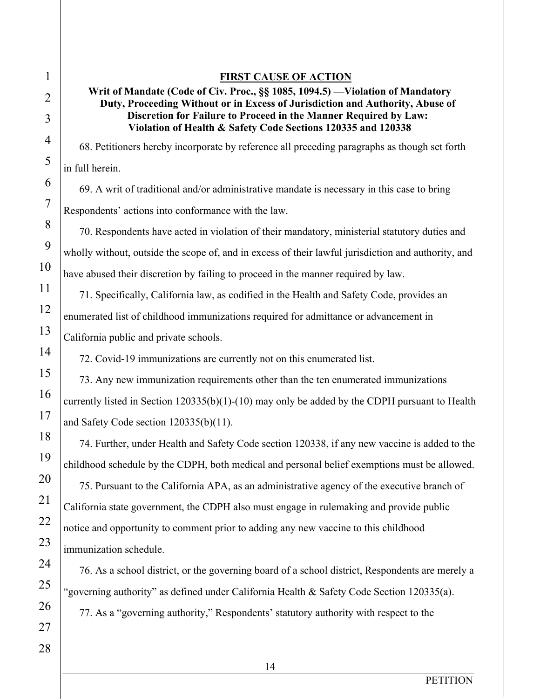#### **FIRST CAUSE OF ACTION**

## **Writ of Mandate (Code of Civ. Proc., §§ 1085, 1094.5) ––Violation of Mandatory Duty, Proceeding Without or in Excess of Jurisdiction and Authority, Abuse of Discretion for Failure to Proceed in the Manner Required by Law: Violation of Health & Safety Code Sections 120335 and 120338**

68. Petitioners hereby incorporate by reference all preceding paragraphs as though set forth in full herein.

69. A writ of traditional and/or administrative mandate is necessary in this case to bring Respondents' actions into conformance with the law.

70. Respondents have acted in violation of their mandatory, ministerial statutory duties and wholly without, outside the scope of, and in excess of their lawful jurisdiction and authority, and have abused their discretion by failing to proceed in the manner required by law.

71. Specifically, California law, as codified in the Health and Safety Code, provides an enumerated list of childhood immunizations required for admittance or advancement in California public and private schools.

72. Covid-19 immunizations are currently not on this enumerated list.

73. Any new immunization requirements other than the ten enumerated immunizations currently listed in Section 120335(b)(1)-(10) may only be added by the CDPH pursuant to Health and Safety Code section 120335(b)(11).

74. Further, under Health and Safety Code section 120338, if any new vaccine is added to the childhood schedule by the CDPH, both medical and personal belief exemptions must be allowed.

75. Pursuant to the California APA, as an administrative agency of the executive branch of California state government, the CDPH also must engage in rulemaking and provide public notice and opportunity to comment prior to adding any new vaccine to this childhood immunization schedule.

76. As a school district, or the governing board of a school district, Respondents are merely a "governing authority" as defined under California Health & Safety Code Section 120335(a).

77. As a "governing authority," Respondents' statutory authority with respect to the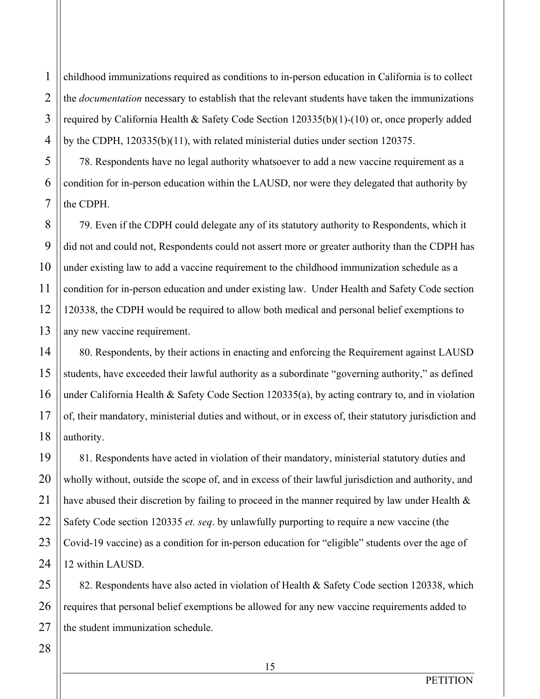childhood immunizations required as conditions to in-person education in California is to collect the *documentation* necessary to establish that the relevant students have taken the immunizations required by California Health & Safety Code Section 120335(b)(1)-(10) or, once properly added by the CDPH, 120335(b)(11), with related ministerial duties under section 120375.

78. Respondents have no legal authority whatsoever to add a new vaccine requirement as a condition for in-person education within the LAUSD, nor were they delegated that authority by the CDPH.

79. Even if the CDPH could delegate any of its statutory authority to Respondents, which it did not and could not, Respondents could not assert more or greater authority than the CDPH has under existing law to add a vaccine requirement to the childhood immunization schedule as a condition for in-person education and under existing law. Under Health and Safety Code section 120338, the CDPH would be required to allow both medical and personal belief exemptions to any new vaccine requirement.

80. Respondents, by their actions in enacting and enforcing the Requirement against LAUSD students, have exceeded their lawful authority as a subordinate "governing authority," as defined under California Health & Safety Code Section 120335(a), by acting contrary to, and in violation of, their mandatory, ministerial duties and without, or in excess of, their statutory jurisdiction and authority.

81. Respondents have acted in violation of their mandatory, ministerial statutory duties and wholly without, outside the scope of, and in excess of their lawful jurisdiction and authority, and have abused their discretion by failing to proceed in the manner required by law under Health  $\&$ Safety Code section 120335 *et. seq*. by unlawfully purporting to require a new vaccine (the Covid-19 vaccine) as a condition for in-person education for "eligible" students over the age of 12 within LAUSD.

82. Respondents have also acted in violation of Health & Safety Code section 120338, which requires that personal belief exemptions be allowed for any new vaccine requirements added to the student immunization schedule.

1

2

3

4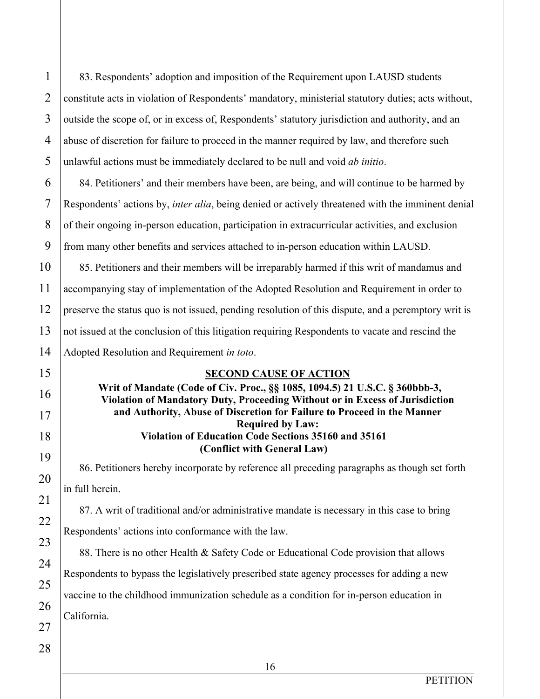1 2 83. Respondents' adoption and imposition of the Requirement upon LAUSD students constitute acts in violation of Respondents' mandatory, ministerial statutory duties; acts without, outside the scope of, or in excess of, Respondents' statutory jurisdiction and authority, and an abuse of discretion for failure to proceed in the manner required by law, and therefore such unlawful actions must be immediately declared to be null and void *ab initio*. 84. Petitioners' and their members have been, are being, and will continue to be harmed by

Respondents' actions by, *inter alia*, being denied or actively threatened with the imminent denial of their ongoing in-person education, participation in extracurricular activities, and exclusion from many other benefits and services attached to in-person education within LAUSD.

85. Petitioners and their members will be irreparably harmed if this writ of mandamus and accompanying stay of implementation of the Adopted Resolution and Requirement in order to preserve the status quo is not issued, pending resolution of this dispute, and a peremptory writ is not issued at the conclusion of this litigation requiring Respondents to vacate and rescind the Adopted Resolution and Requirement *in toto*.

# **SECOND CAUSE OF ACTION**

**Writ of Mandate (Code of Civ. Proc., §§ 1085, 1094.5) 21 U.S.C. § 360bbb-3, Violation of Mandatory Duty, Proceeding Without or in Excess of Jurisdiction and Authority, Abuse of Discretion for Failure to Proceed in the Manner Required by Law: Violation of Education Code Sections 35160 and 35161 (Conflict with General Law)**

86. Petitioners hereby incorporate by reference all preceding paragraphs as though set forth in full herein.

87. A writ of traditional and/or administrative mandate is necessary in this case to bring Respondents' actions into conformance with the law.

88. There is no other Health & Safety Code or Educational Code provision that allows Respondents to bypass the legislatively prescribed state agency processes for adding a new vaccine to the childhood immunization schedule as a condition for in-person education in California.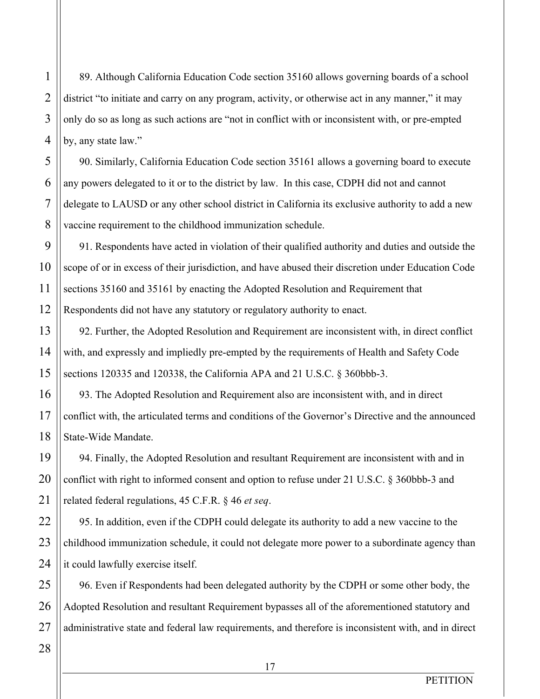89. Although California Education Code section 35160 allows governing boards of a school district "to initiate and carry on any program, activity, or otherwise act in any manner," it may only do so as long as such actions are "not in conflict with or inconsistent with, or pre-empted by, any state law."

90. Similarly, California Education Code section 35161 allows a governing board to execute any powers delegated to it or to the district by law. In this case, CDPH did not and cannot delegate to LAUSD or any other school district in California its exclusive authority to add a new vaccine requirement to the childhood immunization schedule.

91. Respondents have acted in violation of their qualified authority and duties and outside the scope of or in excess of their jurisdiction, and have abused their discretion under Education Code sections 35160 and 35161 by enacting the Adopted Resolution and Requirement that Respondents did not have any statutory or regulatory authority to enact.

92. Further, the Adopted Resolution and Requirement are inconsistent with, in direct conflict with, and expressly and impliedly pre-empted by the requirements of Health and Safety Code sections 120335 and 120338, the California APA and 21 U.S.C. § 360bbb-3.

93. The Adopted Resolution and Requirement also are inconsistent with, and in direct conflict with, the articulated terms and conditions of the Governor's Directive and the announced State-Wide Mandate.

94. Finally, the Adopted Resolution and resultant Requirement are inconsistent with and in conflict with right to informed consent and option to refuse under 21 U.S.C. § 360bbb-3 and related federal regulations, 45 C.F.R. § 46 *et seq*.

95. In addition, even if the CDPH could delegate its authority to add a new vaccine to the childhood immunization schedule, it could not delegate more power to a subordinate agency than it could lawfully exercise itself.

96. Even if Respondents had been delegated authority by the CDPH or some other body, the Adopted Resolution and resultant Requirement bypasses all of the aforementioned statutory and administrative state and federal law requirements, and therefore is inconsistent with, and in direct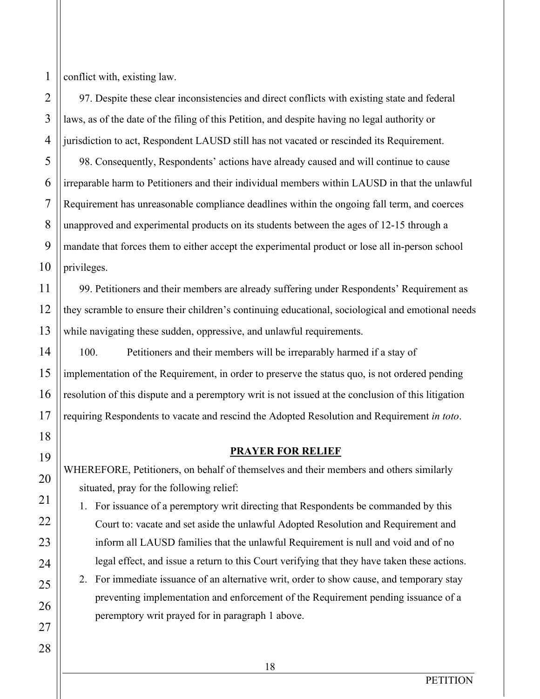conflict with, existing law.

97. Despite these clear inconsistencies and direct conflicts with existing state and federal laws, as of the date of the filing of this Petition, and despite having no legal authority or jurisdiction to act, Respondent LAUSD still has not vacated or rescinded its Requirement. 98. Consequently, Respondents' actions have already caused and will continue to cause irreparable harm to Petitioners and their individual members within LAUSD in that the unlawful Requirement has unreasonable compliance deadlines within the ongoing fall term, and coerces unapproved and experimental products on its students between the ages of 12-15 through a mandate that forces them to either accept the experimental product or lose all in-person school

privileges.

99. Petitioners and their members are already suffering under Respondents' Requirement as they scramble to ensure their children's continuing educational, sociological and emotional needs while navigating these sudden, oppressive, and unlawful requirements.

100. Petitioners and their members will be irreparably harmed if a stay of implementation of the Requirement, in order to preserve the status quo, is not ordered pending resolution of this dispute and a peremptory writ is not issued at the conclusion of this litigation requiring Respondents to vacate and rescind the Adopted Resolution and Requirement *in toto*.

## **PRAYER FOR RELIEF**

WHEREFORE, Petitioners, on behalf of themselves and their members and others similarly situated, pray for the following relief:

1. For issuance of a peremptory writ directing that Respondents be commanded by this Court to: vacate and set aside the unlawful Adopted Resolution and Requirement and inform all LAUSD families that the unlawful Requirement is null and void and of no legal effect, and issue a return to this Court verifying that they have taken these actions.

2. For immediate issuance of an alternative writ, order to show cause, and temporary stay preventing implementation and enforcement of the Requirement pending issuance of a peremptory writ prayed for in paragraph 1 above.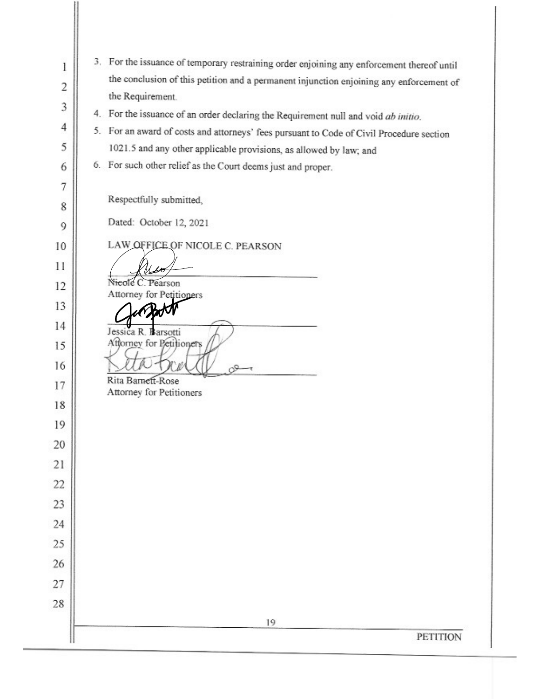| 1                   | 3. For the issuance of temporary restraining order enjoining any enforcement thereof until                                         |  |
|---------------------|------------------------------------------------------------------------------------------------------------------------------------|--|
| 2                   | the conclusion of this petition and a permanent injunction enjoining any enforcement of                                            |  |
| 3                   | the Requirement.                                                                                                                   |  |
| 4                   | 4. For the issuance of an order declaring the Requirement null and void ab initio.                                                 |  |
| 5                   | 5. For an award of costs and attorneys' fees pursuant to Code of Civil Procedure section                                           |  |
|                     | 1021.5 and any other applicable provisions, as allowed by law; and<br>6. For such other relief as the Court deems just and proper. |  |
| 6                   |                                                                                                                                    |  |
| $\overline{7}$<br>8 | Respectfully submitted,                                                                                                            |  |
| 9                   | Dated: October 12, 2021                                                                                                            |  |
| 10                  | LAW OFFICE OF NICOLE C. PEARSON                                                                                                    |  |
| 11                  | 48                                                                                                                                 |  |
| 12                  | Vicole C. Pearson                                                                                                                  |  |
| 13                  | Attorney for Petitioners                                                                                                           |  |
| 14                  | Jessica R. Barsotti                                                                                                                |  |
| 15                  | Attorney for Petitioners                                                                                                           |  |
| 16                  |                                                                                                                                    |  |
| 17                  | Rita Barnett-Rose<br>Attorney for Petitioners                                                                                      |  |
| 18                  |                                                                                                                                    |  |
| 19                  |                                                                                                                                    |  |
| 20                  |                                                                                                                                    |  |
| 21                  |                                                                                                                                    |  |
| 22                  |                                                                                                                                    |  |
| 23                  |                                                                                                                                    |  |
| 24                  |                                                                                                                                    |  |
| 25                  |                                                                                                                                    |  |
| 26                  |                                                                                                                                    |  |
| 27                  |                                                                                                                                    |  |
| 28                  |                                                                                                                                    |  |
|                     | 19                                                                                                                                 |  |
|                     | <b>PETITION</b>                                                                                                                    |  |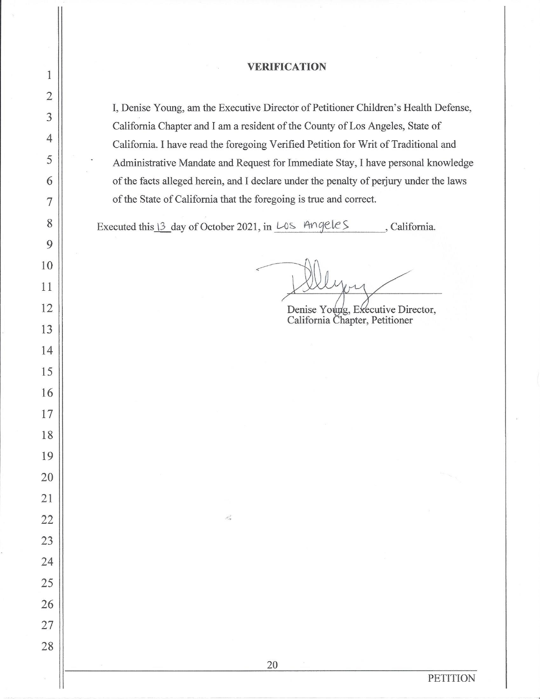#### **VERIFICATION**

I, Denise Young, am the Executive Director of Petitioner Children's Health Defense, California Chapter and I am a resident of the County of Los Angeles, State of California. I have read the foregoing Verified Petition for Writ of Traditional and Administrative Mandate and Request for Immediate Stay, I have personal knowledge of the facts alleged herein, and I declare under the penalty of perjury under the laws of the State of California that the foregoing is true and correct.

Executed this 13 day of October 2021, in LOS Angeles California.

 $\sigma_{\rm w}^2$ 

20

Denise Young, Executive Director, California Chapter, Petitioner

1  $\overline{2}$  $\overline{3}$  $\overline{4}$ 5 6  $\overline{7}$ 8 9 10 11 12 13 14 15 16 17 18 19 20 21 22 23 24 25 26 27 28